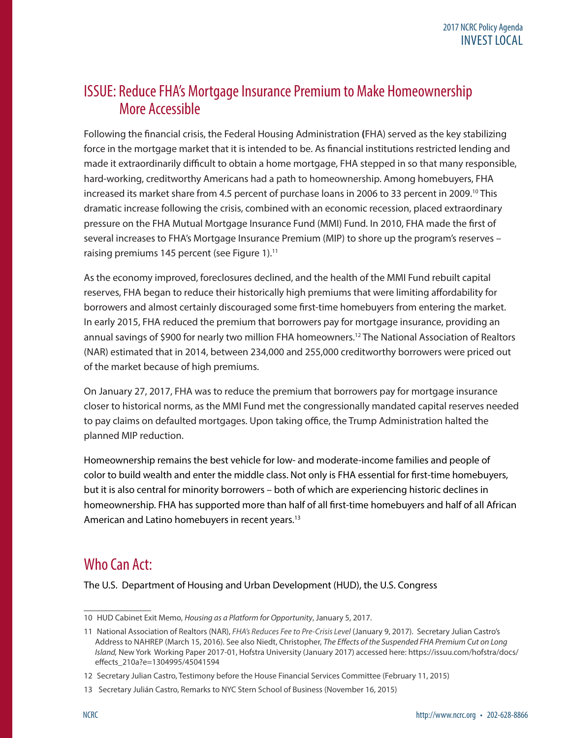## ISSUE: Reduce FHA's Mortgage Insurance Premium to Make Homeownership More Accessible

Following the financial crisis, the Federal Housing Administration **(**FHA) served as the key stabilizing force in the mortgage market that it is intended to be. As financial institutions restricted lending and made it extraordinarily difficult to obtain a home mortgage, FHA stepped in so that many responsible, hard-working, creditworthy Americans had a path to homeownership. Among homebuyers, FHA increased its market share from 4.5 percent of purchase loans in 2006 to 33 percent in 2009.<sup>10</sup> This dramatic increase following the crisis, combined with an economic recession, placed extraordinary pressure on the FHA Mutual Mortgage Insurance Fund (MMI) Fund. In 2010, FHA made the first of several increases to FHA's Mortgage Insurance Premium (MIP) to shore up the program's reserves – raising premiums 145 percent (see Figure 1). $<sup>11</sup>$ </sup>

As the economy improved, foreclosures declined, and the health of the MMI Fund rebuilt capital reserves, FHA began to reduce their historically high premiums that were limiting affordability for borrowers and almost certainly discouraged some first-time homebuyers from entering the market. In early 2015, FHA reduced the premium that borrowers pay for mortgage insurance, providing an annual savings of \$900 for nearly two million FHA homeowners.<sup>12</sup> The National Association of Realtors (NAR) estimated that in 2014, between 234,000 and 255,000 creditworthy borrowers were priced out of the market because of high premiums.

On January 27, 2017, FHA was to reduce the premium that borrowers pay for mortgage insurance closer to historical norms, as the MMI Fund met the congressionally mandated capital reserves needed to pay claims on defaulted mortgages. Upon taking office, the Trump Administration halted the planned MIP reduction.

Homeownership remains the best vehicle for low- and moderate-income families and people of color to build wealth and enter the middle class. Not only is FHA essential for first-time homebuyers, but it is also central for minority borrowers – both of which are experiencing historic declines in homeownership. FHA has supported more than half of all first-time homebuyers and half of all African American and Latino homebuyers in recent years.<sup>13</sup>

## Who Can Act:

The U.S. Department of Housing and Urban Development (HUD), the U.S. Congress

<sup>10</sup> HUD Cabinet Exit Memo, *Housing as a Platform for Opportunity*, January 5, 2017.

<sup>11</sup> National Association of Realtors (NAR), *FHA's Reduces Fee to Pre-Crisis Level* (January 9, 2017). Secretary Julian Castro's Address to NAHREP (March 15, 2016). See also Niedt, Christopher, *The Effects of the Suspended FHA Premium Cut on Long Island,* New YorkWorking Paper 2017-01, Hofstra University (January 2017) accessed here: https://issuu.com/hofstra/docs/ effects\_210a?e=1304995/45041594

<sup>12</sup> Secretary Julian Castro, Testimony before the House Financial Services Committee (February 11, 2015)

<sup>13</sup> Secretary Julián Castro, Remarks to NYC Stern School of Business (November 16, 2015)